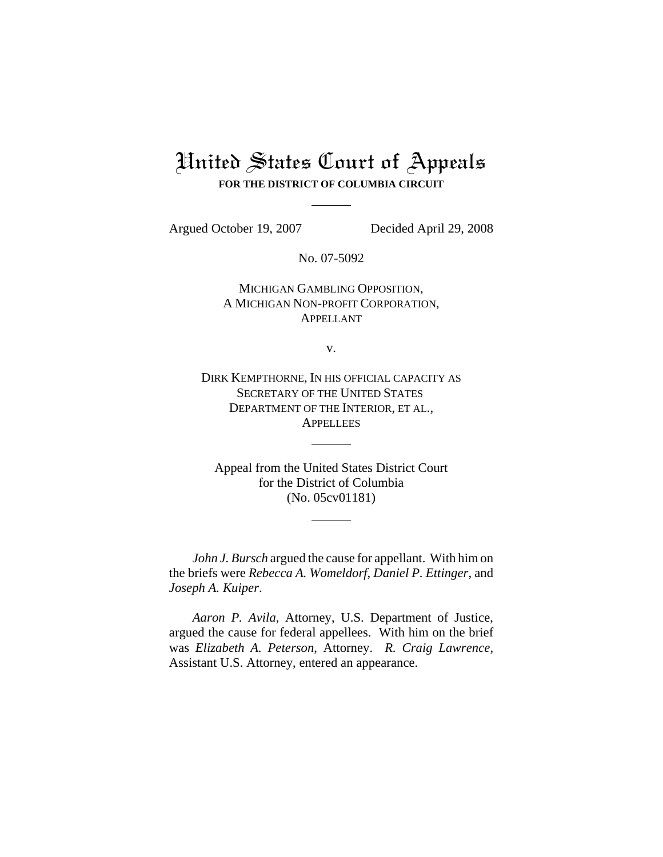# United States Court of Appeals **FOR THE DISTRICT OF COLUMBIA CIRCUIT**

Argued October 19, 2007 Decided April 29, 2008

No. 07-5092

## MICHIGAN GAMBLING OPPOSITION, A MICHIGAN NON-PROFIT CORPORATION, APPELLANT

v.

DIRK KEMPTHORNE, IN HIS OFFICIAL CAPACITY AS SECRETARY OF THE UNITED STATES DEPARTMENT OF THE INTERIOR, ET AL., **APPELLEES** 

Appeal from the United States District Court for the District of Columbia (No. 05cv01181)

*John J. Bursch* argued the cause for appellant. With him on the briefs were *Rebecca A. Womeldorf*, *Daniel P. Ettinger*, and *Joseph A. Kuiper*.

*Aaron P. Avila*, Attorney, U.S. Department of Justice, argued the cause for federal appellees. With him on the brief was *Elizabeth A. Peterson*, Attorney. *R. Craig Lawrence*, Assistant U.S. Attorney, entered an appearance.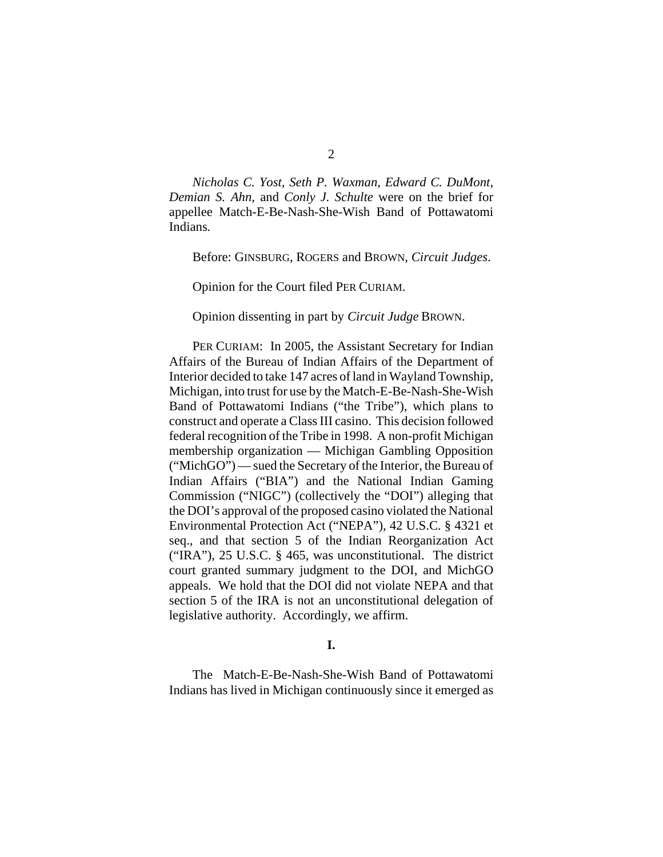*Nicholas C. Yost*, *Seth P. Waxman*, *Edward C. DuMont*, *Demian S. Ahn*, and *Conly J. Schulte* were on the brief for appellee Match-E-Be-Nash-She-Wish Band of Pottawatomi Indians*.*

Before: GINSBURG, ROGERS and BROWN, *Circuit Judges*.

Opinion for the Court filed PER CURIAM.

Opinion dissenting in part by *Circuit Judge* BROWN.

PER CURIAM: In 2005, the Assistant Secretary for Indian Affairs of the Bureau of Indian Affairs of the Department of Interior decided to take 147 acres of land in Wayland Township, Michigan, into trust for use by the Match-E-Be-Nash-She-Wish Band of Pottawatomi Indians ("the Tribe"), which plans to construct and operate a Class III casino. This decision followed federal recognition of the Tribe in 1998. A non-profit Michigan membership organization — Michigan Gambling Opposition ("MichGO") — sued the Secretary of the Interior, the Bureau of Indian Affairs ("BIA") and the National Indian Gaming Commission ("NIGC") (collectively the "DOI") alleging that the DOI's approval of the proposed casino violated the National Environmental Protection Act ("NEPA"), 42 U.S.C. § 4321 et seq., and that section 5 of the Indian Reorganization Act ("IRA"), 25 U.S.C. § 465, was unconstitutional. The district court granted summary judgment to the DOI, and MichGO appeals. We hold that the DOI did not violate NEPA and that section 5 of the IRA is not an unconstitutional delegation of legislative authority. Accordingly, we affirm.

### **I.**

The Match-E-Be-Nash-She-Wish Band of Pottawatomi Indians has lived in Michigan continuously since it emerged as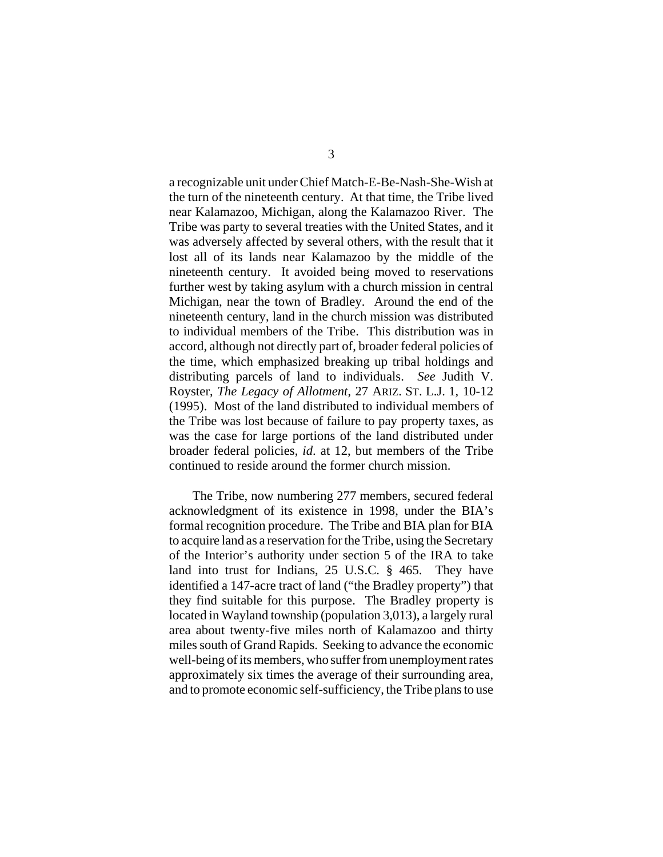a recognizable unit under Chief Match-E-Be-Nash-She-Wish at the turn of the nineteenth century. At that time, the Tribe lived near Kalamazoo, Michigan, along the Kalamazoo River. The Tribe was party to several treaties with the United States, and it was adversely affected by several others, with the result that it lost all of its lands near Kalamazoo by the middle of the nineteenth century. It avoided being moved to reservations further west by taking asylum with a church mission in central Michigan, near the town of Bradley. Around the end of the nineteenth century, land in the church mission was distributed to individual members of the Tribe. This distribution was in accord, although not directly part of, broader federal policies of the time, which emphasized breaking up tribal holdings and distributing parcels of land to individuals. *See* Judith V. Royster, *The Legacy of Allotment*, 27 ARIZ. ST. L.J. 1, 10-12 (1995). Most of the land distributed to individual members of the Tribe was lost because of failure to pay property taxes, as was the case for large portions of the land distributed under broader federal policies, *id*. at 12, but members of the Tribe continued to reside around the former church mission.

The Tribe, now numbering 277 members, secured federal acknowledgment of its existence in 1998, under the BIA's formal recognition procedure. The Tribe and BIA plan for BIA to acquire land as a reservation for the Tribe, using the Secretary of the Interior's authority under section 5 of the IRA to take land into trust for Indians, 25 U.S.C. § 465. They have identified a 147-acre tract of land ("the Bradley property") that they find suitable for this purpose. The Bradley property is located in Wayland township (population 3,013), a largely rural area about twenty-five miles north of Kalamazoo and thirty miles south of Grand Rapids. Seeking to advance the economic well-being of its members, who suffer from unemployment rates approximately six times the average of their surrounding area, and to promote economic self-sufficiency, the Tribe plans to use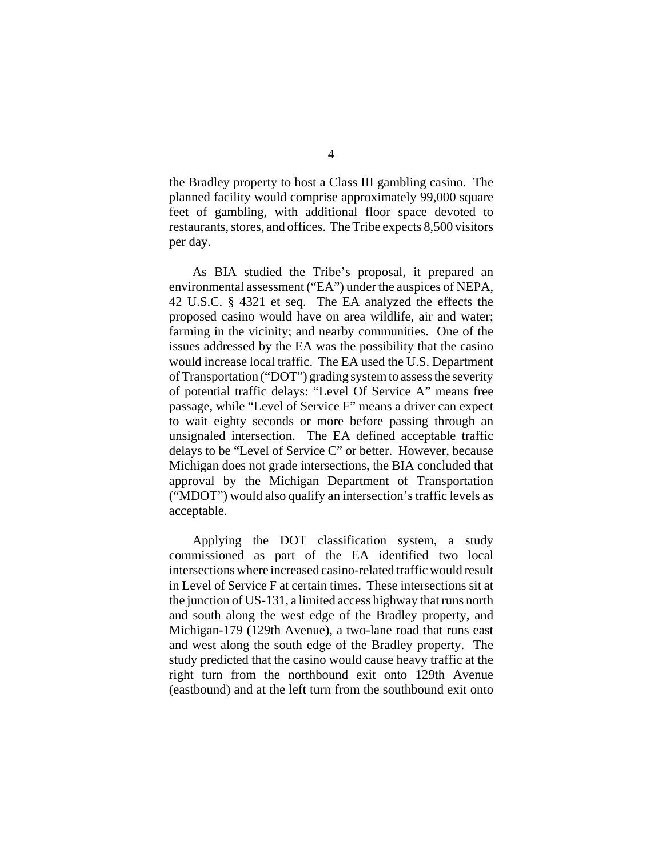the Bradley property to host a Class III gambling casino. The planned facility would comprise approximately 99,000 square feet of gambling, with additional floor space devoted to restaurants, stores, and offices. The Tribe expects 8,500 visitors per day.

As BIA studied the Tribe's proposal, it prepared an environmental assessment ("EA") under the auspices of NEPA, 42 U.S.C. § 4321 et seq. The EA analyzed the effects the proposed casino would have on area wildlife, air and water; farming in the vicinity; and nearby communities. One of the issues addressed by the EA was the possibility that the casino would increase local traffic. The EA used the U.S. Department of Transportation ("DOT") grading system to assess the severity of potential traffic delays: "Level Of Service A" means free passage, while "Level of Service F" means a driver can expect to wait eighty seconds or more before passing through an unsignaled intersection. The EA defined acceptable traffic delays to be "Level of Service C" or better. However, because Michigan does not grade intersections, the BIA concluded that approval by the Michigan Department of Transportation ("MDOT") would also qualify an intersection's traffic levels as acceptable.

Applying the DOT classification system, a study commissioned as part of the EA identified two local intersections where increased casino-related traffic would result in Level of Service F at certain times. These intersections sit at the junction of US-131, a limited access highway that runs north and south along the west edge of the Bradley property, and Michigan-179 (129th Avenue), a two-lane road that runs east and west along the south edge of the Bradley property. The study predicted that the casino would cause heavy traffic at the right turn from the northbound exit onto 129th Avenue (eastbound) and at the left turn from the southbound exit onto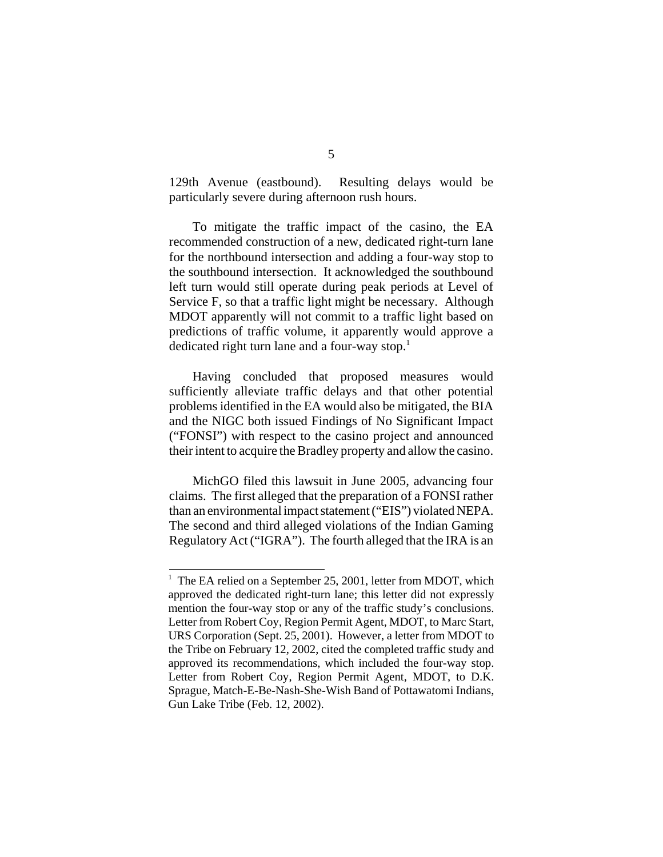129th Avenue (eastbound). Resulting delays would be particularly severe during afternoon rush hours.

To mitigate the traffic impact of the casino, the EA recommended construction of a new, dedicated right-turn lane for the northbound intersection and adding a four-way stop to the southbound intersection. It acknowledged the southbound left turn would still operate during peak periods at Level of Service F, so that a traffic light might be necessary. Although MDOT apparently will not commit to a traffic light based on predictions of traffic volume, it apparently would approve a dedicated right turn lane and a four-way stop.<sup>1</sup>

Having concluded that proposed measures would sufficiently alleviate traffic delays and that other potential problems identified in the EA would also be mitigated, the BIA and the NIGC both issued Findings of No Significant Impact ("FONSI") with respect to the casino project and announced their intent to acquire the Bradley property and allow the casino.

MichGO filed this lawsuit in June 2005, advancing four claims. The first alleged that the preparation of a FONSI rather than an environmental impact statement ("EIS") violated NEPA. The second and third alleged violations of the Indian Gaming Regulatory Act ("IGRA"). The fourth alleged that the IRA is an

<sup>&</sup>lt;sup>1</sup> The EA relied on a September 25, 2001, letter from MDOT, which approved the dedicated right-turn lane; this letter did not expressly mention the four-way stop or any of the traffic study's conclusions. Letter from Robert Coy, Region Permit Agent, MDOT, to Marc Start, URS Corporation (Sept. 25, 2001). However, a letter from MDOT to the Tribe on February 12, 2002, cited the completed traffic study and approved its recommendations, which included the four-way stop. Letter from Robert Coy, Region Permit Agent, MDOT, to D.K. Sprague, Match-E-Be-Nash-She-Wish Band of Pottawatomi Indians, Gun Lake Tribe (Feb. 12, 2002).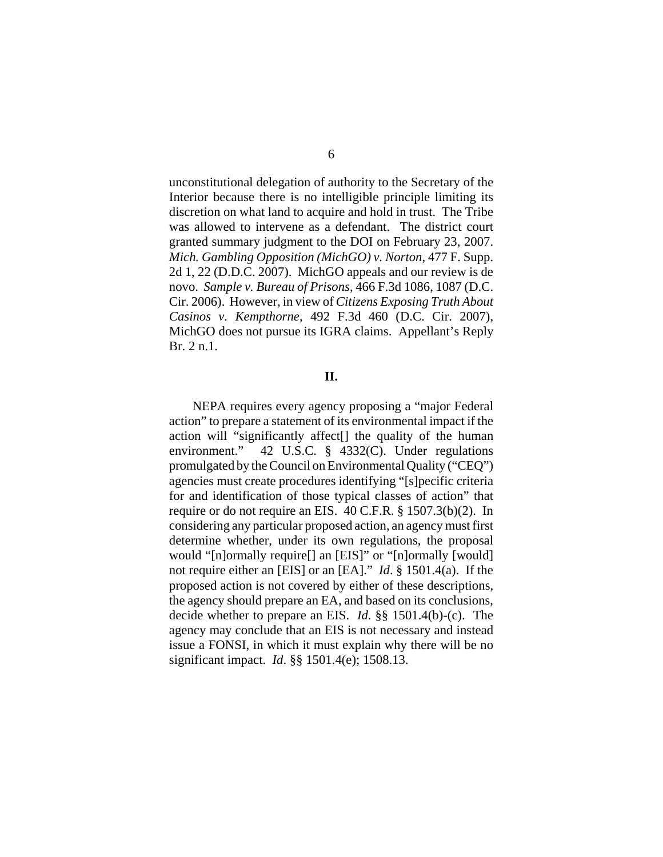unconstitutional delegation of authority to the Secretary of the Interior because there is no intelligible principle limiting its discretion on what land to acquire and hold in trust. The Tribe was allowed to intervene as a defendant. The district court granted summary judgment to the DOI on February 23, 2007. *Mich. Gambling Opposition (MichGO) v. Norton*, 477 F. Supp. 2d 1, 22 (D.D.C. 2007). MichGO appeals and our review is de novo. *Sample v. Bureau of Prisons*, 466 F.3d 1086, 1087 (D.C. Cir. 2006). However, in view of *Citizens Exposing Truth About Casinos v. Kempthorne*, 492 F.3d 460 (D.C. Cir. 2007), MichGO does not pursue its IGRA claims. Appellant's Reply Br. 2 n.1.

### **II.**

NEPA requires every agency proposing a "major Federal action" to prepare a statement of its environmental impact if the action will "significantly affect[] the quality of the human environment." 42 U.S.C. § 4332(C). Under regulations promulgated by the Council on Environmental Quality ("CEQ") agencies must create procedures identifying "[s]pecific criteria for and identification of those typical classes of action" that require or do not require an EIS. 40 C.F.R. § 1507.3(b)(2). In considering any particular proposed action, an agency must first determine whether, under its own regulations, the proposal would "[n]ormally require[] an [EIS]" or "[n]ormally [would] not require either an [EIS] or an [EA]." *Id*. § 1501.4(a). If the proposed action is not covered by either of these descriptions, the agency should prepare an EA, and based on its conclusions, decide whether to prepare an EIS. *Id*. §§ 1501.4(b)-(c). The agency may conclude that an EIS is not necessary and instead issue a FONSI, in which it must explain why there will be no significant impact. *Id*. §§ 1501.4(e); 1508.13.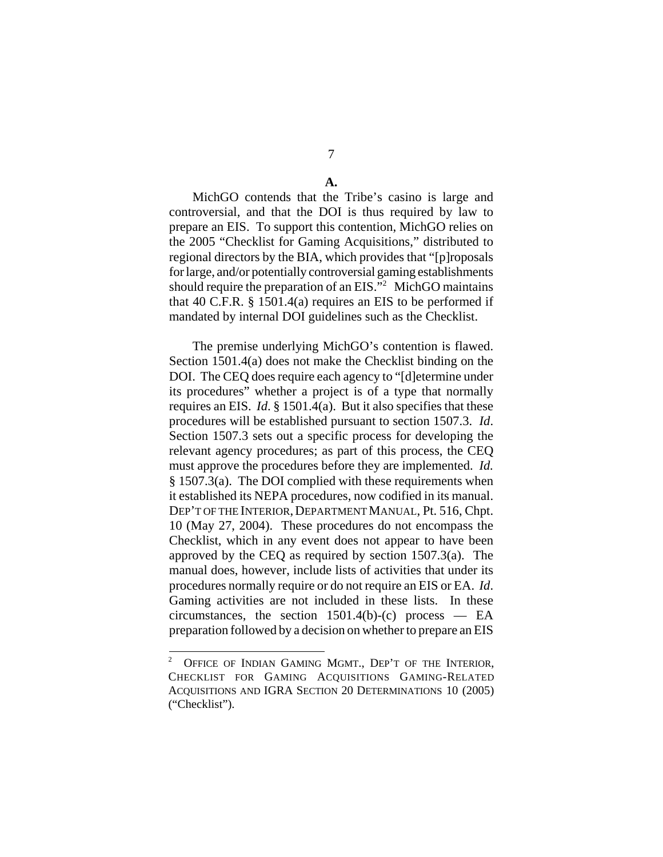**A.**

MichGO contends that the Tribe's casino is large and controversial, and that the DOI is thus required by law to prepare an EIS. To support this contention, MichGO relies on the 2005 "Checklist for Gaming Acquisitions," distributed to regional directors by the BIA, which provides that "[p]roposals for large, and/or potentially controversial gaming establishments should require the preparation of an EIS."<sup>2</sup> MichGO maintains that 40 C.F.R.  $\S$  1501.4(a) requires an EIS to be performed if mandated by internal DOI guidelines such as the Checklist.

The premise underlying MichGO's contention is flawed. Section 1501.4(a) does not make the Checklist binding on the DOI. The CEQ does require each agency to "[d]etermine under its procedures" whether a project is of a type that normally requires an EIS. *Id*. § 1501.4(a). But it also specifies that these procedures will be established pursuant to section 1507.3. *Id*. Section 1507.3 sets out a specific process for developing the relevant agency procedures; as part of this process, the CEQ must approve the procedures before they are implemented. *Id.* § 1507.3(a). The DOI complied with these requirements when it established its NEPA procedures, now codified in its manual. DEP'T OF THE INTERIOR, DEPARTMENT MANUAL, Pt. 516, Chpt. 10 (May 27, 2004). These procedures do not encompass the Checklist, which in any event does not appear to have been approved by the CEQ as required by section 1507.3(a). The manual does, however, include lists of activities that under its procedures normally require or do not require an EIS or EA. *Id*. Gaming activities are not included in these lists. In these circumstances, the section  $1501.4(b)-(c)$  process — EA preparation followed by a decision on whether to prepare an EIS

<sup>2</sup> OFFICE OF INDIAN GAMING MGMT., DEP'T OF THE INTERIOR, CHECKLIST FOR GAMING ACQUISITIONS GAMING-RELATED ACQUISITIONS AND IGRA SECTION 20 DETERMINATIONS 10 (2005) ("Checklist").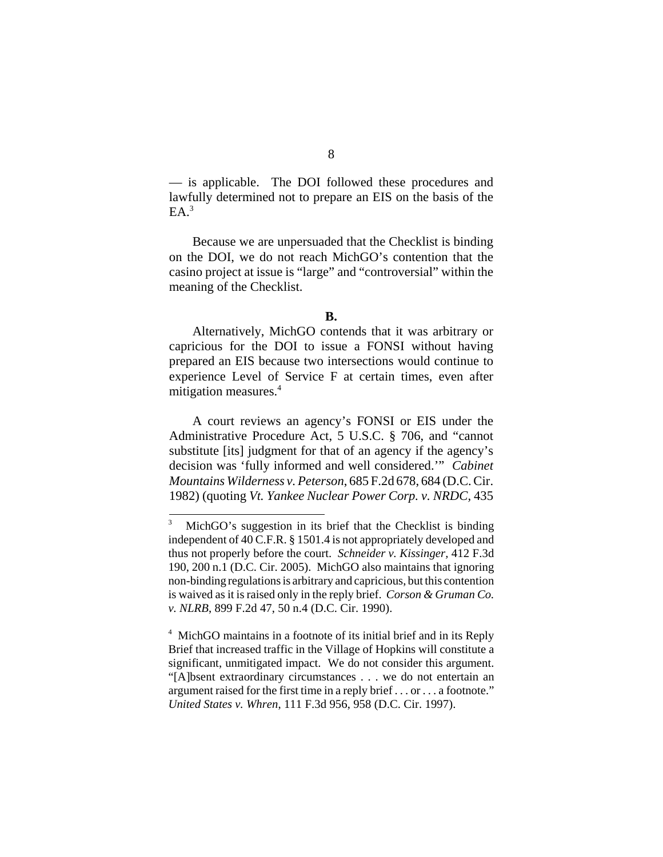— is applicable. The DOI followed these procedures and lawfully determined not to prepare an EIS on the basis of the  $EA.<sup>3</sup>$ 

Because we are unpersuaded that the Checklist is binding on the DOI, we do not reach MichGO's contention that the casino project at issue is "large" and "controversial" within the meaning of the Checklist.

#### **B.**

Alternatively, MichGO contends that it was arbitrary or capricious for the DOI to issue a FONSI without having prepared an EIS because two intersections would continue to experience Level of Service F at certain times, even after mitigation measures.<sup>4</sup>

A court reviews an agency's FONSI or EIS under the Administrative Procedure Act, 5 U.S.C. § 706, and "cannot substitute [its] judgment for that of an agency if the agency's decision was 'fully informed and well considered.'" *Cabinet Mountains Wilderness v. Peterson*, 685 F.2d 678, 684 (D.C. Cir. 1982) (quoting *Vt. Yankee Nuclear Power Corp. v. NRDC,* 435

<sup>4</sup> MichGO maintains in a footnote of its initial brief and in its Reply Brief that increased traffic in the Village of Hopkins will constitute a significant, unmitigated impact. We do not consider this argument. "[A]bsent extraordinary circumstances . . . we do not entertain an argument raised for the first time in a reply brief . . . or . . . a footnote." *United States v. Whren*, 111 F.3d 956, 958 (D.C. Cir. 1997).

<sup>3</sup> MichGO's suggestion in its brief that the Checklist is binding independent of 40 C.F.R. § 1501.4 is not appropriately developed and thus not properly before the court. *Schneider v. Kissinger,* 412 F.3d 190, 200 n.1 (D.C. Cir. 2005). MichGO also maintains that ignoring non-binding regulations is arbitrary and capricious, but this contention is waived as it is raised only in the reply brief. *Corson & Gruman Co. v. NLRB*, 899 F.2d 47, 50 n.4 (D.C. Cir. 1990).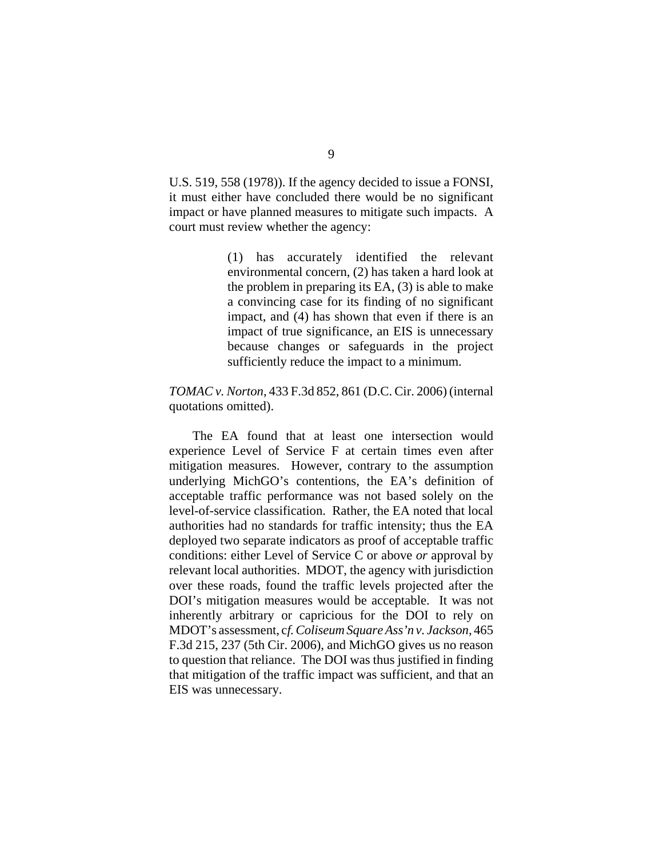U.S. 519, 558 (1978)). If the agency decided to issue a FONSI, it must either have concluded there would be no significant impact or have planned measures to mitigate such impacts. A court must review whether the agency:

> (1) has accurately identified the relevant environmental concern, (2) has taken a hard look at the problem in preparing its EA, (3) is able to make a convincing case for its finding of no significant impact, and (4) has shown that even if there is an impact of true significance, an EIS is unnecessary because changes or safeguards in the project sufficiently reduce the impact to a minimum.

### *TOMAC v. Norton*, 433 F.3d 852, 861 (D.C. Cir. 2006) (internal quotations omitted).

The EA found that at least one intersection would experience Level of Service F at certain times even after mitigation measures. However, contrary to the assumption underlying MichGO's contentions, the EA's definition of acceptable traffic performance was not based solely on the level-of-service classification. Rather, the EA noted that local authorities had no standards for traffic intensity; thus the EA deployed two separate indicators as proof of acceptable traffic conditions: either Level of Service C or above *or* approval by relevant local authorities. MDOT, the agency with jurisdiction over these roads, found the traffic levels projected after the DOI's mitigation measures would be acceptable. It was not inherently arbitrary or capricious for the DOI to rely on MDOT's assessment, c*f. Coliseum Square Ass'n v. Jackson*, 465 F.3d 215, 237 (5th Cir. 2006), and MichGO gives us no reason to question that reliance. The DOI was thus justified in finding that mitigation of the traffic impact was sufficient, and that an EIS was unnecessary.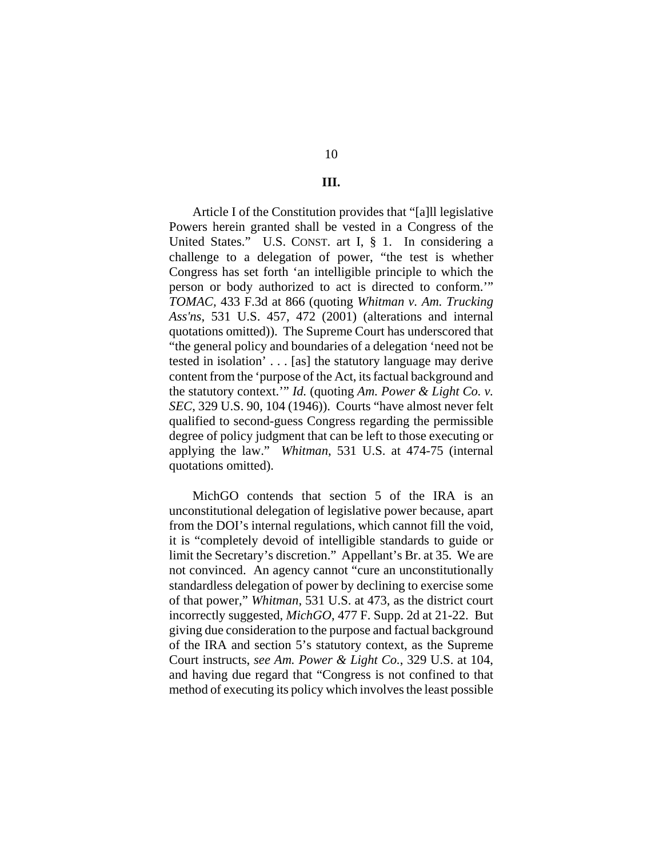# **III.**

Article I of the Constitution provides that "[a]ll legislative Powers herein granted shall be vested in a Congress of the United States." U.S. CONST. art I, § 1. In considering a challenge to a delegation of power, "the test is whether Congress has set forth 'an intelligible principle to which the person or body authorized to act is directed to conform.'" *TOMAC,* 433 F.3d at 866 (quoting *Whitman v. Am. Trucking Ass'ns*, 531 U.S. 457, 472 (2001) (alterations and internal quotations omitted)). The Supreme Court has underscored that "the general policy and boundaries of a delegation 'need not be tested in isolation' . . . [as] the statutory language may derive content from the 'purpose of the Act, its factual background and the statutory context.'" *Id.* (quoting *Am. Power & Light Co. v. SEC*, 329 U.S. 90, 104 (1946)). Courts "have almost never felt qualified to second-guess Congress regarding the permissible degree of policy judgment that can be left to those executing or applying the law." *Whitman*, 531 U.S. at 474-75 (internal quotations omitted).

MichGO contends that section 5 of the IRA is an unconstitutional delegation of legislative power because, apart from the DOI's internal regulations, which cannot fill the void, it is "completely devoid of intelligible standards to guide or limit the Secretary's discretion." Appellant's Br. at 35. We are not convinced. An agency cannot "cure an unconstitutionally standardless delegation of power by declining to exercise some of that power," *Whitman*, 531 U.S. at 473, as the district court incorrectly suggested, *MichGO*, 477 F. Supp. 2d at 21-22. But giving due consideration to the purpose and factual background of the IRA and section 5's statutory context, as the Supreme Court instructs, *see Am. Power & Light Co.*, 329 U.S. at 104, and having due regard that "Congress is not confined to that method of executing its policy which involves the least possible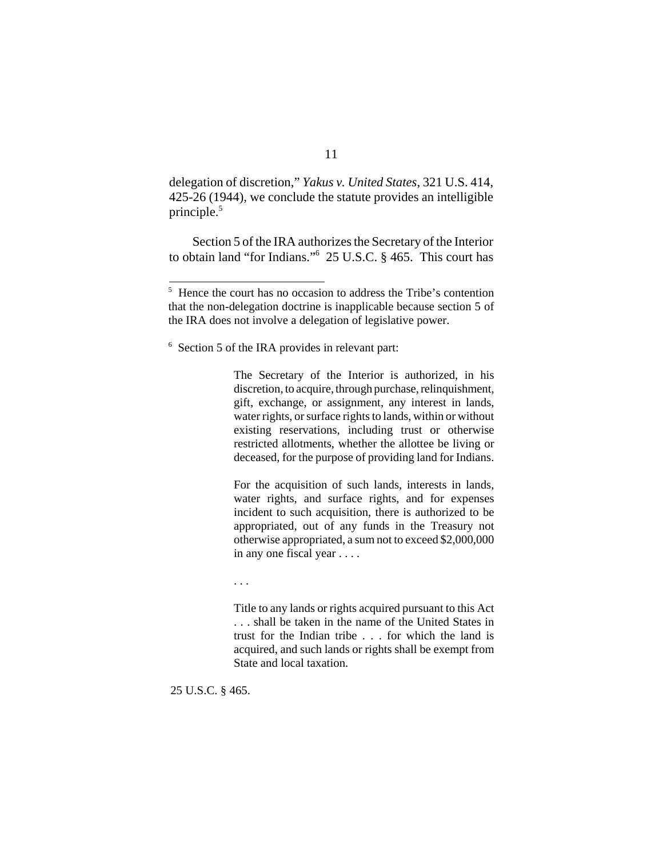delegation of discretion," *Yakus v. United States*, 321 U.S. 414, 425-26 (1944), we conclude the statute provides an intelligible principle.5

Section 5 of the IRA authorizes the Secretary of the Interior to obtain land "for Indians."6 25 U.S.C. § 465. This court has

<sup>6</sup> Section 5 of the IRA provides in relevant part:

The Secretary of the Interior is authorized, in his discretion, to acquire, through purchase, relinquishment, gift, exchange, or assignment, any interest in lands, water rights, or surface rights to lands, within or without existing reservations, including trust or otherwise restricted allotments, whether the allottee be living or deceased, for the purpose of providing land for Indians.

For the acquisition of such lands, interests in lands, water rights, and surface rights, and for expenses incident to such acquisition, there is authorized to be appropriated, out of any funds in the Treasury not otherwise appropriated, a sum not to exceed \$2,000,000 in any one fiscal year . . . .

. . .

Title to any lands or rights acquired pursuant to this Act . . . shall be taken in the name of the United States in trust for the Indian tribe . . . for which the land is acquired, and such lands or rights shall be exempt from State and local taxation.

25 U.S.C. § 465.

<sup>&</sup>lt;sup>5</sup> Hence the court has no occasion to address the Tribe's contention that the non-delegation doctrine is inapplicable because section 5 of the IRA does not involve a delegation of legislative power.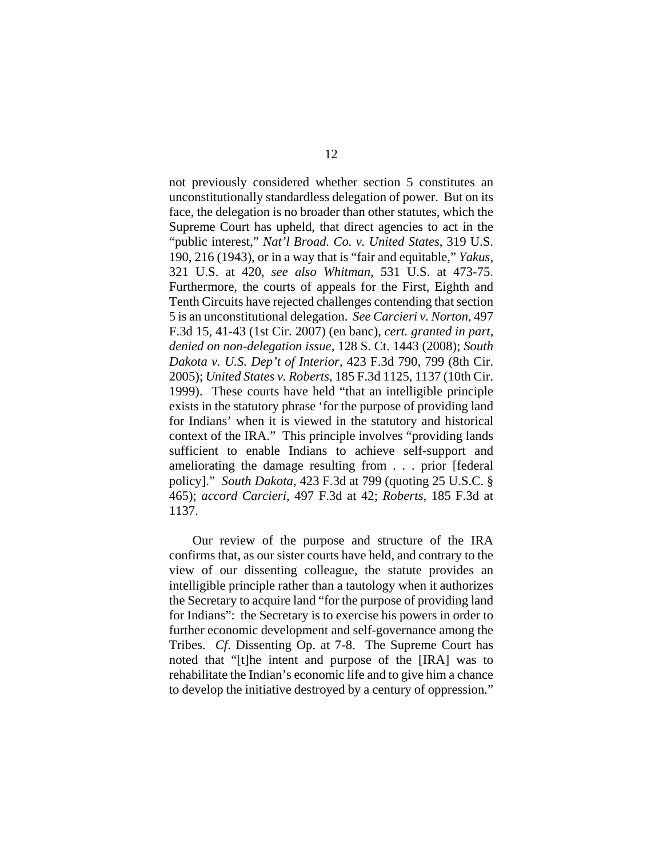not previously considered whether section 5 constitutes an unconstitutionally standardless delegation of power. But on its face, the delegation is no broader than other statutes, which the Supreme Court has upheld, that direct agencies to act in the "public interest," *Nat'l Broad. Co. v. United States*, 319 U.S. 190, 216 (1943), or in a way that is "fair and equitable," *Yakus,* 321 U.S. at 420, *see also Whitman*, 531 U.S. at 473-75. Furthermore, the courts of appeals for the First, Eighth and Tenth Circuits have rejected challenges contending that section 5 is an unconstitutional delegation. *See Carcieri v. Norton*, 497 F.3d 15, 41-43 (1st Cir. 2007) (en banc), *cert. granted in part, denied on non-delegation issue,* 128 S. Ct. 1443 (2008); *South Dakota v. U.S. Dep't of Interior*, 423 F.3d 790, 799 (8th Cir. 2005); *United States v. Roberts*, 185 F.3d 1125, 1137 (10th Cir. 1999). These courts have held "that an intelligible principle exists in the statutory phrase 'for the purpose of providing land for Indians' when it is viewed in the statutory and historical context of the IRA." This principle involves "providing lands sufficient to enable Indians to achieve self-support and ameliorating the damage resulting from . . . prior [federal policy]." *South Dakota*, 423 F.3d at 799 (quoting 25 U.S.C. § 465); *accord Carcieri*, 497 F.3d at 42; *Roberts*, 185 F.3d at 1137.

Our review of the purpose and structure of the IRA confirms that, as our sister courts have held, and contrary to the view of our dissenting colleague, the statute provides an intelligible principle rather than a tautology when it authorizes the Secretary to acquire land "for the purpose of providing land for Indians": the Secretary is to exercise his powers in order to further economic development and self-governance among the Tribes. *Cf*. Dissenting Op. at 7-8. The Supreme Court has noted that "[t]he intent and purpose of the [IRA] was to rehabilitate the Indian's economic life and to give him a chance to develop the initiative destroyed by a century of oppression."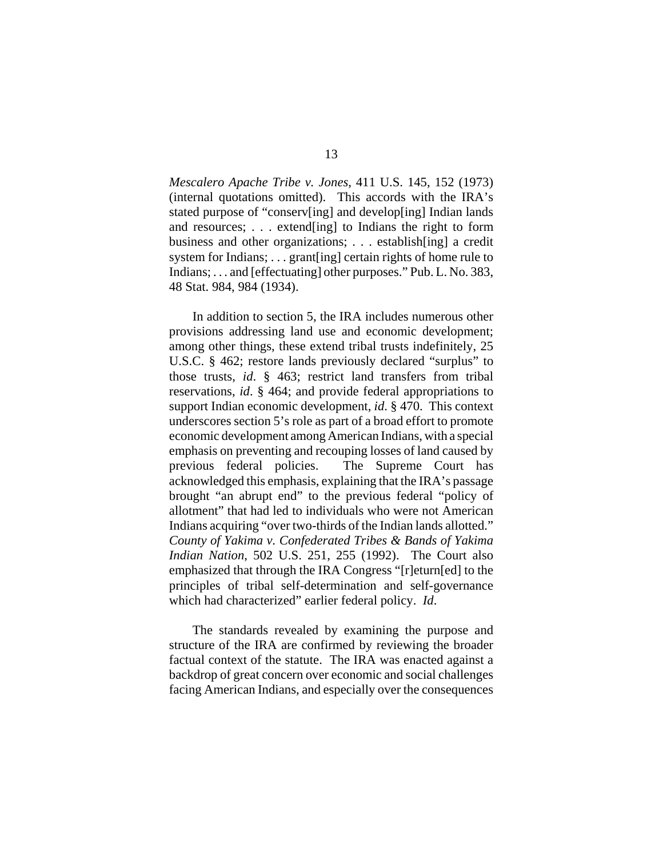*Mescalero Apache Tribe v. Jones*, 411 U.S. 145, 152 (1973) (internal quotations omitted). This accords with the IRA's stated purpose of "conserv[ing] and develop[ing] Indian lands and resources; . . . extend[ing] to Indians the right to form business and other organizations; . . . establish[ing] a credit system for Indians; . . . grant[ing] certain rights of home rule to Indians; ... and [effectuating] other purposes." Pub. L. No. 383, 48 Stat. 984, 984 (1934).

In addition to section 5, the IRA includes numerous other provisions addressing land use and economic development; among other things, these extend tribal trusts indefinitely, 25 U.S.C. § 462; restore lands previously declared "surplus" to those trusts, *id*. § 463; restrict land transfers from tribal reservations, *id*. § 464; and provide federal appropriations to support Indian economic development, *id*. § 470. This context underscores section 5's role as part of a broad effort to promote economic development among American Indians, with a special emphasis on preventing and recouping losses of land caused by previous federal policies. The Supreme Court has acknowledged this emphasis, explaining that the IRA's passage brought "an abrupt end" to the previous federal "policy of allotment" that had led to individuals who were not American Indians acquiring "over two-thirds of the Indian lands allotted." *County of Yakima v. Confederated Tribes & Bands of Yakima Indian Nation*, 502 U.S. 251, 255 (1992). The Court also emphasized that through the IRA Congress "[r]eturn[ed] to the principles of tribal self-determination and self-governance which had characterized" earlier federal policy. *Id*.

The standards revealed by examining the purpose and structure of the IRA are confirmed by reviewing the broader factual context of the statute. The IRA was enacted against a backdrop of great concern over economic and social challenges facing American Indians, and especially over the consequences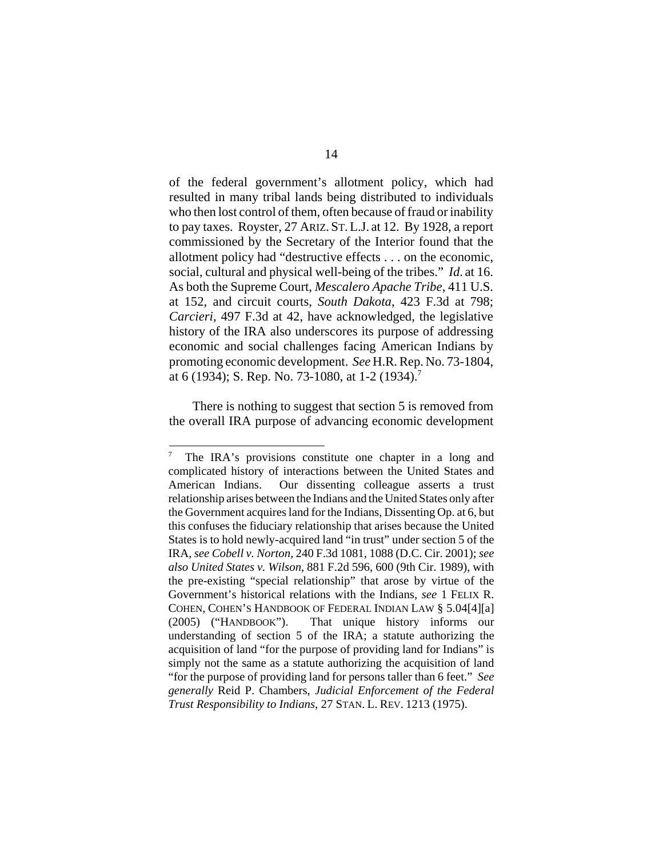of the federal government's allotment policy, which had resulted in many tribal lands being distributed to individuals who then lost control of them, often because of fraud or inability to pay taxes. Royster, 27 ARIZ. ST.L.J. at 12. By 1928, a report commissioned by the Secretary of the Interior found that the allotment policy had "destructive effects . . . on the economic, social, cultural and physical well-being of the tribes." *Id*. at 16. As both the Supreme Court, *Mescalero Apache Tribe*, 411 U.S. at 152, and circuit courts, *South Dakota*, 423 F.3d at 798; *Carcieri*, 497 F.3d at 42, have acknowledged, the legislative history of the IRA also underscores its purpose of addressing economic and social challenges facing American Indians by promoting economic development. *See* H.R. Rep. No. 73-1804, at 6 (1934); S. Rep. No. 73-1080, at 1-2 (1934).<sup>7</sup>

There is nothing to suggest that section 5 is removed from the overall IRA purpose of advancing economic development

<sup>7</sup> The IRA's provisions constitute one chapter in a long and complicated history of interactions between the United States and American Indians. Our dissenting colleague asserts a trust relationship arises between the Indians and the United States only after the Government acquires land for the Indians, Dissenting Op. at 6, but this confuses the fiduciary relationship that arises because the United States is to hold newly-acquired land "in trust" under section 5 of the IRA, *see Cobell v. Norton*, 240 F.3d 1081, 1088 (D.C. Cir. 2001); *see also United States v. Wilson*, 881 F.2d 596, 600 (9th Cir. 1989), with the pre-existing "special relationship" that arose by virtue of the Government's historical relations with the Indians, *see* 1 FELIX R. COHEN, COHEN'S HANDBOOK OF FEDERAL INDIAN LAW § 5.04[4][a] (2005) ("HANDBOOK"). That unique history informs our understanding of section 5 of the IRA; a statute authorizing the acquisition of land "for the purpose of providing land for Indians" is simply not the same as a statute authorizing the acquisition of land "for the purpose of providing land for persons taller than 6 feet." *See generally* Reid P. Chambers, *Judicial Enforcement of the Federal Trust Responsibility to Indians*, 27 STAN. L. REV. 1213 (1975).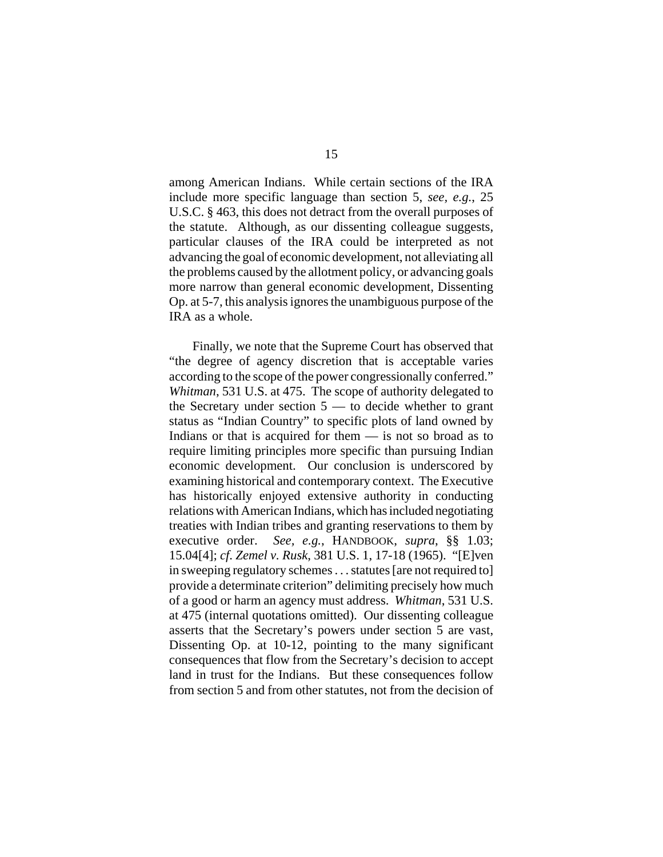among American Indians. While certain sections of the IRA include more specific language than section 5, *see, e.g.*, 25 U.S.C. § 463, this does not detract from the overall purposes of the statute. Although, as our dissenting colleague suggests, particular clauses of the IRA could be interpreted as not advancing the goal of economic development, not alleviating all the problems caused by the allotment policy, or advancing goals more narrow than general economic development, Dissenting Op. at 5-7, this analysis ignores the unambiguous purpose of the IRA as a whole.

Finally, we note that the Supreme Court has observed that "the degree of agency discretion that is acceptable varies according to the scope of the power congressionally conferred." *Whitman*, 531 U.S. at 475. The scope of authority delegated to the Secretary under section  $5 -$  to decide whether to grant status as "Indian Country" to specific plots of land owned by Indians or that is acquired for them — is not so broad as to require limiting principles more specific than pursuing Indian economic development. Our conclusion is underscored by examining historical and contemporary context. The Executive has historically enjoyed extensive authority in conducting relations with American Indians, which has included negotiating treaties with Indian tribes and granting reservations to them by executive order. *See, e.g.*, HANDBOOK, *supra*, §§ 1.03; 15.04[4]; *cf*. *Zemel v. Rusk*, 381 U.S. 1, 17-18 (1965). "[E]ven in sweeping regulatory schemes . . . statutes [are not required to] provide a determinate criterion" delimiting precisely how much of a good or harm an agency must address. *Whitman*, 531 U.S. at 475 (internal quotations omitted). Our dissenting colleague asserts that the Secretary's powers under section 5 are vast, Dissenting Op. at 10-12, pointing to the many significant consequences that flow from the Secretary's decision to accept land in trust for the Indians. But these consequences follow from section 5 and from other statutes, not from the decision of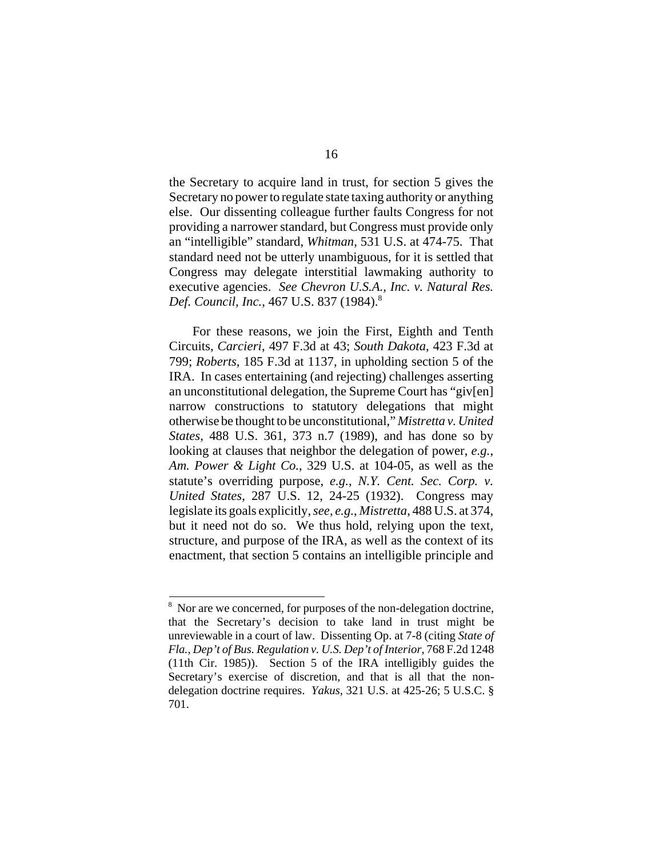the Secretary to acquire land in trust, for section 5 gives the Secretary no power to regulate state taxing authority or anything else. Our dissenting colleague further faults Congress for not providing a narrower standard, but Congress must provide only an "intelligible" standard, *Whitman*, 531 U.S. at 474-75. That standard need not be utterly unambiguous, for it is settled that Congress may delegate interstitial lawmaking authority to executive agencies. *See Chevron U.S.A., Inc. v. Natural Res. Def. Council, Inc., 467 U.S. 837 (1984).*<sup>8</sup>

For these reasons, we join the First, Eighth and Tenth Circuits, *Carcieri*, 497 F.3d at 43; *South Dakota*, 423 F.3d at 799; *Roberts*, 185 F.3d at 1137, in upholding section 5 of the IRA. In cases entertaining (and rejecting) challenges asserting an unconstitutional delegation, the Supreme Court has "giv[en] narrow constructions to statutory delegations that might otherwise be thought to be unconstitutional," *Mistretta v. United States*, 488 U.S. 361, 373 n.7 (1989), and has done so by looking at clauses that neighbor the delegation of power, *e.g.*, *Am. Power & Light Co.*, 329 U.S. at 104-05, as well as the statute's overriding purpose, *e.g.*, *N.Y. Cent. Sec. Corp. v. United States*, 287 U.S. 12, 24-25 (1932). Congress may legislate its goals explicitly, *see, e.g.*, *Mistretta*, 488 U.S. at 374, but it need not do so. We thus hold, relying upon the text, structure, and purpose of the IRA, as well as the context of its enactment, that section 5 contains an intelligible principle and

<sup>&</sup>lt;sup>8</sup> Nor are we concerned, for purposes of the non-delegation doctrine, that the Secretary's decision to take land in trust might be unreviewable in a court of law. Dissenting Op. at 7-8 (citing *State of Fla., Dep't of Bus. Regulation v. U.S. Dep't of Interior*, 768 F.2d 1248 (11th Cir. 1985)). Section 5 of the IRA intelligibly guides the Secretary's exercise of discretion, and that is all that the nondelegation doctrine requires. *Yakus*, 321 U.S. at 425-26; 5 U.S.C. § 701.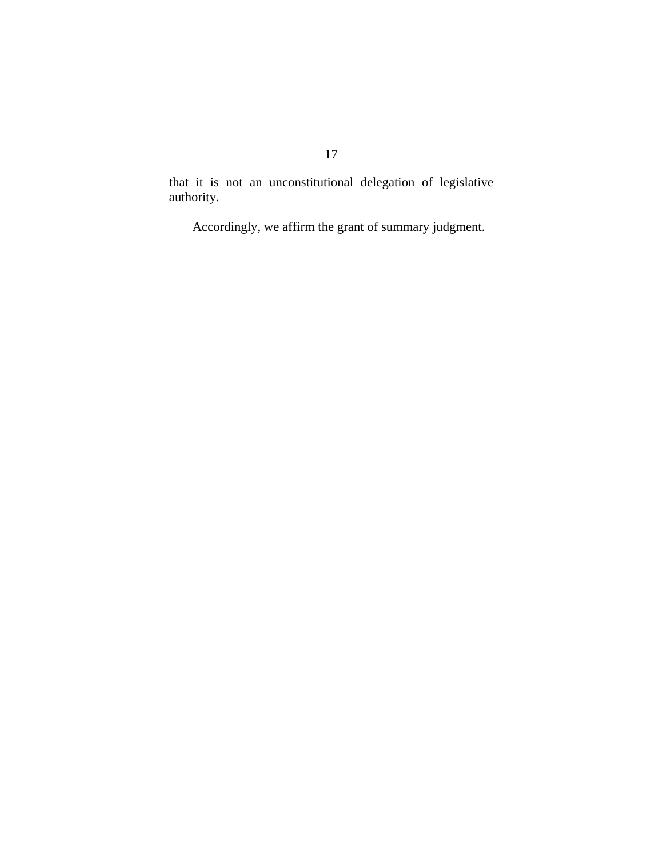that it is not an unconstitutional delegation of legislative authority.

Accordingly, we affirm the grant of summary judgment.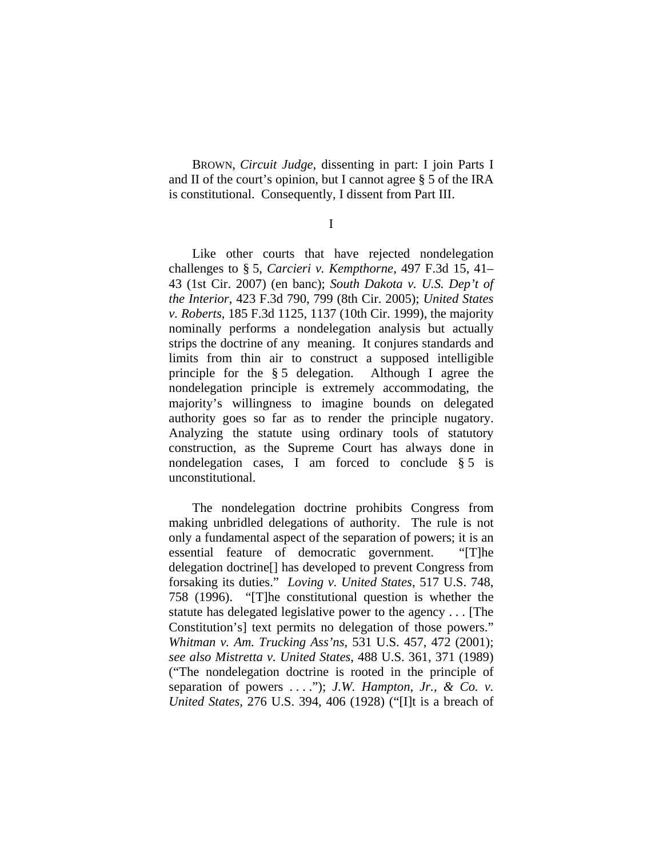BROWN, *Circuit Judge*, dissenting in part: I join Parts I and II of the court's opinion, but I cannot agree § 5 of the IRA is constitutional. Consequently, I dissent from Part III.

I

 Like other courts that have rejected nondelegation challenges to § 5, *Carcieri v. Kempthorne*, 497 F.3d 15, 41– 43 (1st Cir. 2007) (en banc); *South Dakota v. U.S. Dep't of the Interior*, 423 F.3d 790, 799 (8th Cir. 2005); *United States v. Roberts*, 185 F.3d 1125, 1137 (10th Cir. 1999), the majority nominally performs a nondelegation analysis but actually strips the doctrine of any meaning. It conjures standards and limits from thin air to construct a supposed intelligible principle for the § 5 delegation. Although I agree the nondelegation principle is extremely accommodating, the majority's willingness to imagine bounds on delegated authority goes so far as to render the principle nugatory. Analyzing the statute using ordinary tools of statutory construction, as the Supreme Court has always done in nondelegation cases, I am forced to conclude § 5 is unconstitutional.

 The nondelegation doctrine prohibits Congress from making unbridled delegations of authority. The rule is not only a fundamental aspect of the separation of powers; it is an essential feature of democratic government. "[T]he delegation doctrine[] has developed to prevent Congress from forsaking its duties." *Loving v. United States*, 517 U.S. 748, 758 (1996). "[T]he constitutional question is whether the statute has delegated legislative power to the agency . . . [The Constitution's] text permits no delegation of those powers." *Whitman v. Am. Trucking Ass'ns*, 531 U.S. 457, 472 (2001); *see also Mistretta v. United States*, 488 U.S. 361, 371 (1989) ("The nondelegation doctrine is rooted in the principle of separation of powers . . . ."); *J.W. Hampton, Jr., & Co. v. United States*, 276 U.S. 394, 406 (1928) ("[I]t is a breach of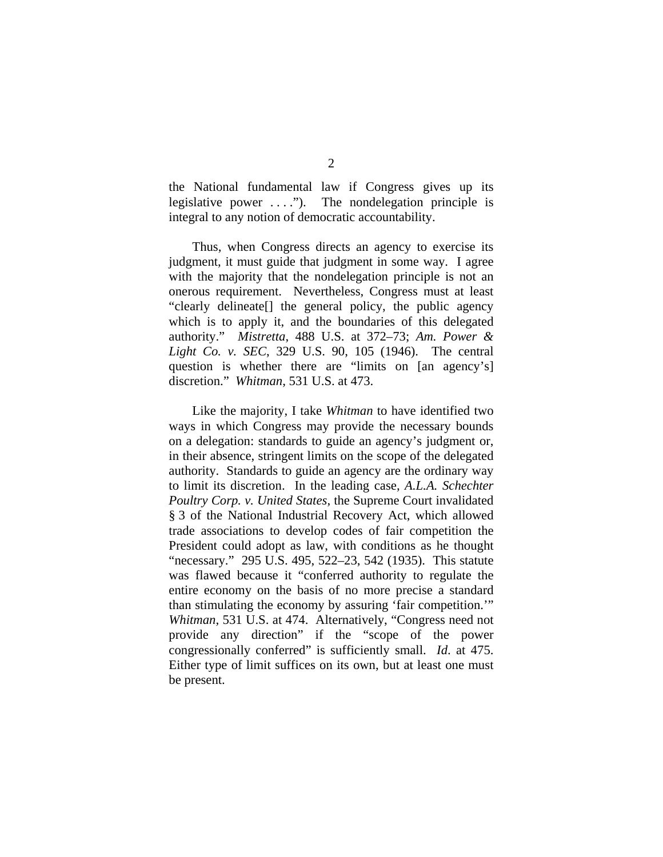the National fundamental law if Congress gives up its legislative power . . . ."). The nondelegation principle is integral to any notion of democratic accountability.

 Thus, when Congress directs an agency to exercise its judgment, it must guide that judgment in some way. I agree with the majority that the nondelegation principle is not an onerous requirement. Nevertheless, Congress must at least "clearly delineate[] the general policy, the public agency which is to apply it, and the boundaries of this delegated authority." *Mistretta*, 488 U.S. at 372–73; *Am. Power & Light Co. v. SEC*, 329 U.S. 90, 105 (1946). The central question is whether there are "limits on [an agency's] discretion." *Whitman*, 531 U.S. at 473.

 Like the majority, I take *Whitman* to have identified two ways in which Congress may provide the necessary bounds on a delegation: standards to guide an agency's judgment or, in their absence, stringent limits on the scope of the delegated authority. Standards to guide an agency are the ordinary way to limit its discretion. In the leading case, *A.L.A. Schechter Poultry Corp. v. United States*, the Supreme Court invalidated § 3 of the National Industrial Recovery Act, which allowed trade associations to develop codes of fair competition the President could adopt as law, with conditions as he thought "necessary." 295 U.S. 495, 522–23, 542 (1935). This statute was flawed because it "conferred authority to regulate the entire economy on the basis of no more precise a standard than stimulating the economy by assuring 'fair competition.'" *Whitman*, 531 U.S. at 474. Alternatively, "Congress need not provide any direction" if the "scope of the power congressionally conferred" is sufficiently small. *Id*. at 475. Either type of limit suffices on its own, but at least one must be present.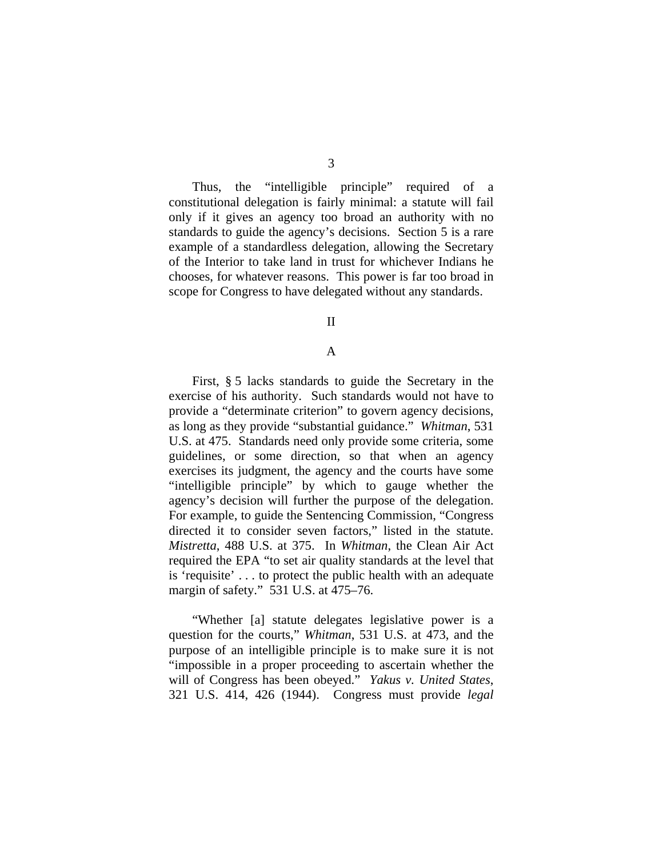3

 Thus, the "intelligible principle" required of a constitutional delegation is fairly minimal: a statute will fail only if it gives an agency too broad an authority with no standards to guide the agency's decisions. Section 5 is a rare example of a standardless delegation, allowing the Secretary of the Interior to take land in trust for whichever Indians he chooses, for whatever reasons. This power is far too broad in scope for Congress to have delegated without any standards.

II

### A

 First, § 5 lacks standards to guide the Secretary in the exercise of his authority. Such standards would not have to provide a "determinate criterion" to govern agency decisions, as long as they provide "substantial guidance." *Whitman*, 531 U.S. at 475. Standards need only provide some criteria, some guidelines, or some direction, so that when an agency exercises its judgment, the agency and the courts have some "intelligible principle" by which to gauge whether the agency's decision will further the purpose of the delegation. For example, to guide the Sentencing Commission, "Congress directed it to consider seven factors," listed in the statute. *Mistretta*, 488 U.S. at 375. In *Whitman*, the Clean Air Act required the EPA "to set air quality standards at the level that is 'requisite' . . . to protect the public health with an adequate margin of safety." 531 U.S. at 475–76.

 "Whether [a] statute delegates legislative power is a question for the courts," *Whitman*, 531 U.S. at 473, and the purpose of an intelligible principle is to make sure it is not "impossible in a proper proceeding to ascertain whether the will of Congress has been obeyed." *Yakus v. United States*, 321 U.S. 414, 426 (1944). Congress must provide *legal*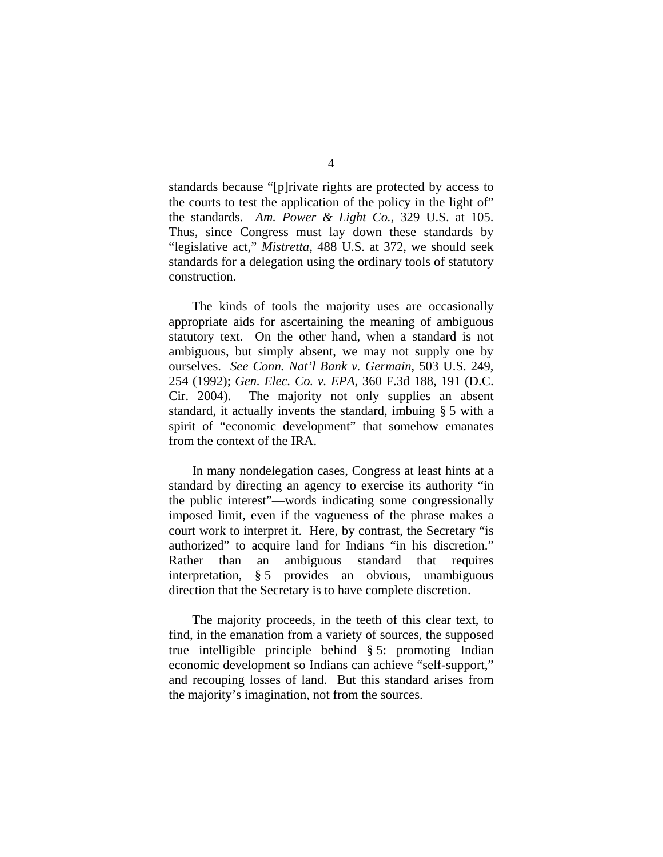standards because "[p]rivate rights are protected by access to the courts to test the application of the policy in the light of" the standards. *Am. Power & Light Co.*, 329 U.S. at 105. Thus, since Congress must lay down these standards by "legislative act," *Mistretta*, 488 U.S. at 372, we should seek standards for a delegation using the ordinary tools of statutory construction.

 The kinds of tools the majority uses are occasionally appropriate aids for ascertaining the meaning of ambiguous statutory text. On the other hand, when a standard is not ambiguous, but simply absent, we may not supply one by ourselves. *See Conn. Nat'l Bank v. Germain*, 503 U.S. 249, 254 (1992); *Gen. Elec. Co. v. EPA*, 360 F.3d 188, 191 (D.C. Cir. 2004). The majority not only supplies an absent standard, it actually invents the standard, imbuing § 5 with a spirit of "economic development" that somehow emanates from the context of the IRA.

 In many nondelegation cases, Congress at least hints at a standard by directing an agency to exercise its authority "in the public interest"—words indicating some congressionally imposed limit, even if the vagueness of the phrase makes a court work to interpret it. Here, by contrast, the Secretary "is authorized" to acquire land for Indians "in his discretion." Rather than an ambiguous standard that requires interpretation, § 5 provides an obvious, unambiguous direction that the Secretary is to have complete discretion.

 The majority proceeds, in the teeth of this clear text, to find, in the emanation from a variety of sources, the supposed true intelligible principle behind § 5: promoting Indian economic development so Indians can achieve "self-support," and recouping losses of land. But this standard arises from the majority's imagination, not from the sources.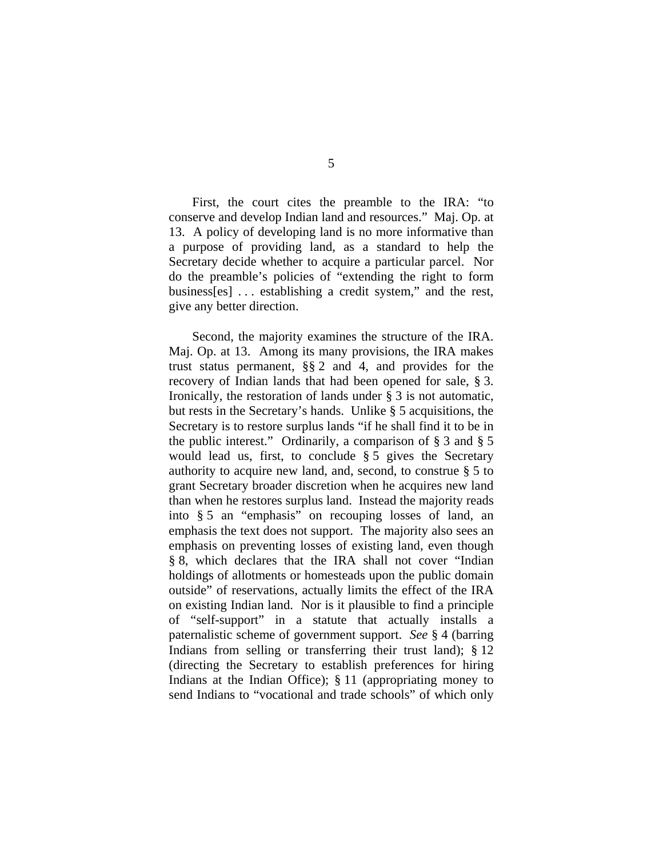First, the court cites the preamble to the IRA: "to conserve and develop Indian land and resources." Maj. Op. at 13. A policy of developing land is no more informative than a purpose of providing land, as a standard to help the Secretary decide whether to acquire a particular parcel. Nor do the preamble's policies of "extending the right to form business[es] . . . establishing a credit system," and the rest, give any better direction.

 Second, the majority examines the structure of the IRA. Maj. Op. at 13. Among its many provisions, the IRA makes trust status permanent, §§ 2 and 4, and provides for the recovery of Indian lands that had been opened for sale, § 3. Ironically, the restoration of lands under § 3 is not automatic, but rests in the Secretary's hands. Unlike § 5 acquisitions, the Secretary is to restore surplus lands "if he shall find it to be in the public interest." Ordinarily, a comparison of § 3 and § 5 would lead us, first, to conclude § 5 gives the Secretary authority to acquire new land, and, second, to construe § 5 to grant Secretary broader discretion when he acquires new land than when he restores surplus land. Instead the majority reads into § 5 an "emphasis" on recouping losses of land, an emphasis the text does not support. The majority also sees an emphasis on preventing losses of existing land, even though § 8, which declares that the IRA shall not cover "Indian holdings of allotments or homesteads upon the public domain outside" of reservations, actually limits the effect of the IRA on existing Indian land. Nor is it plausible to find a principle of "self-support" in a statute that actually installs a paternalistic scheme of government support. *See* § 4 (barring Indians from selling or transferring their trust land); § 12 (directing the Secretary to establish preferences for hiring Indians at the Indian Office); § 11 (appropriating money to send Indians to "vocational and trade schools" of which only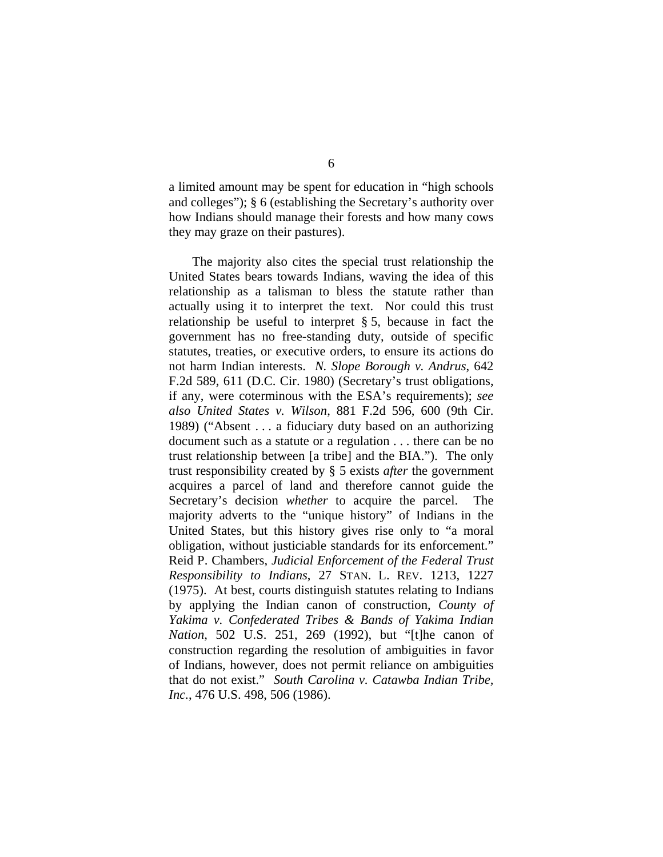a limited amount may be spent for education in "high schools and colleges"); § 6 (establishing the Secretary's authority over how Indians should manage their forests and how many cows they may graze on their pastures).

 The majority also cites the special trust relationship the United States bears towards Indians, waving the idea of this relationship as a talisman to bless the statute rather than actually using it to interpret the text. Nor could this trust relationship be useful to interpret § 5, because in fact the government has no free-standing duty, outside of specific statutes, treaties, or executive orders, to ensure its actions do not harm Indian interests. *N. Slope Borough v. Andrus*, 642 F.2d 589, 611 (D.C. Cir. 1980) (Secretary's trust obligations, if any, were coterminous with the ESA's requirements); *see also United States v. Wilson*, 881 F.2d 596, 600 (9th Cir. 1989) ("Absent . . . a fiduciary duty based on an authorizing document such as a statute or a regulation . . . there can be no trust relationship between [a tribe] and the BIA."). The only trust responsibility created by § 5 exists *after* the government acquires a parcel of land and therefore cannot guide the Secretary's decision *whether* to acquire the parcel. The majority adverts to the "unique history" of Indians in the United States, but this history gives rise only to "a moral obligation, without justiciable standards for its enforcement." Reid P. Chambers, *Judicial Enforcement of the Federal Trust Responsibility to Indians*, 27 STAN. L. REV. 1213, 1227 (1975). At best, courts distinguish statutes relating to Indians by applying the Indian canon of construction, *County of Yakima v. Confederated Tribes & Bands of Yakima Indian Nation*, 502 U.S. 251, 269 (1992), but "[t]he canon of construction regarding the resolution of ambiguities in favor of Indians, however, does not permit reliance on ambiguities that do not exist." *South Carolina v. Catawba Indian Tribe, Inc.*, 476 U.S. 498, 506 (1986).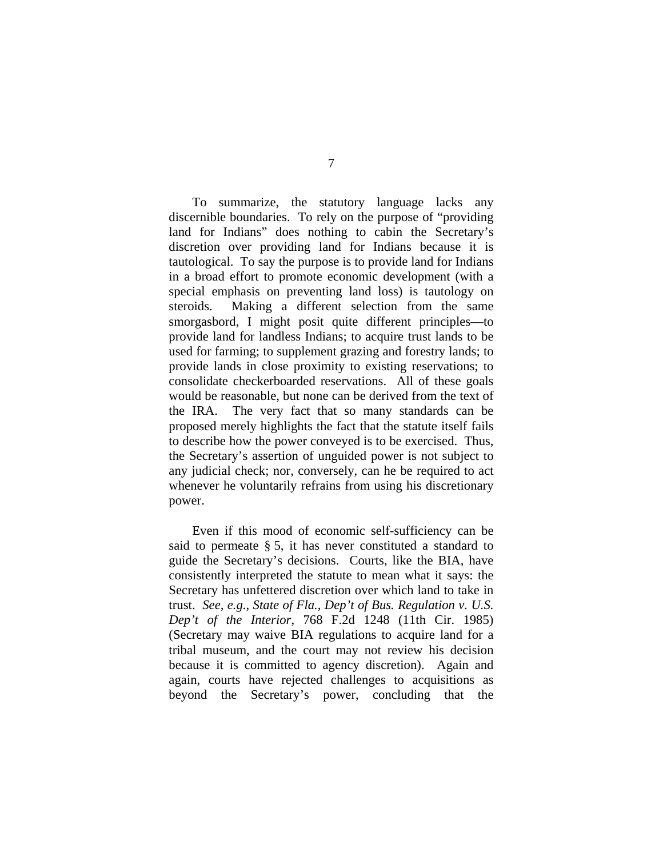To summarize, the statutory language lacks any discernible boundaries. To rely on the purpose of "providing land for Indians" does nothing to cabin the Secretary's discretion over providing land for Indians because it is tautological. To say the purpose is to provide land for Indians in a broad effort to promote economic development (with a special emphasis on preventing land loss) is tautology on steroids. Making a different selection from the same smorgasbord, I might posit quite different principles—to provide land for landless Indians; to acquire trust lands to be used for farming; to supplement grazing and forestry lands; to provide lands in close proximity to existing reservations; to consolidate checkerboarded reservations. All of these goals would be reasonable, but none can be derived from the text of the IRA. The very fact that so many standards can be proposed merely highlights the fact that the statute itself fails to describe how the power conveyed is to be exercised. Thus, the Secretary's assertion of unguided power is not subject to any judicial check; nor, conversely, can he be required to act whenever he voluntarily refrains from using his discretionary power.

 Even if this mood of economic self-sufficiency can be said to permeate § 5, it has never constituted a standard to guide the Secretary's decisions. Courts, like the BIA, have consistently interpreted the statute to mean what it says: the Secretary has unfettered discretion over which land to take in trust. *See, e.g.*, *State of Fla., Dep't of Bus. Regulation v. U.S. Dep't of the Interior*, 768 F.2d 1248 (11th Cir. 1985) (Secretary may waive BIA regulations to acquire land for a tribal museum, and the court may not review his decision because it is committed to agency discretion). Again and again, courts have rejected challenges to acquisitions as beyond the Secretary's power, concluding that the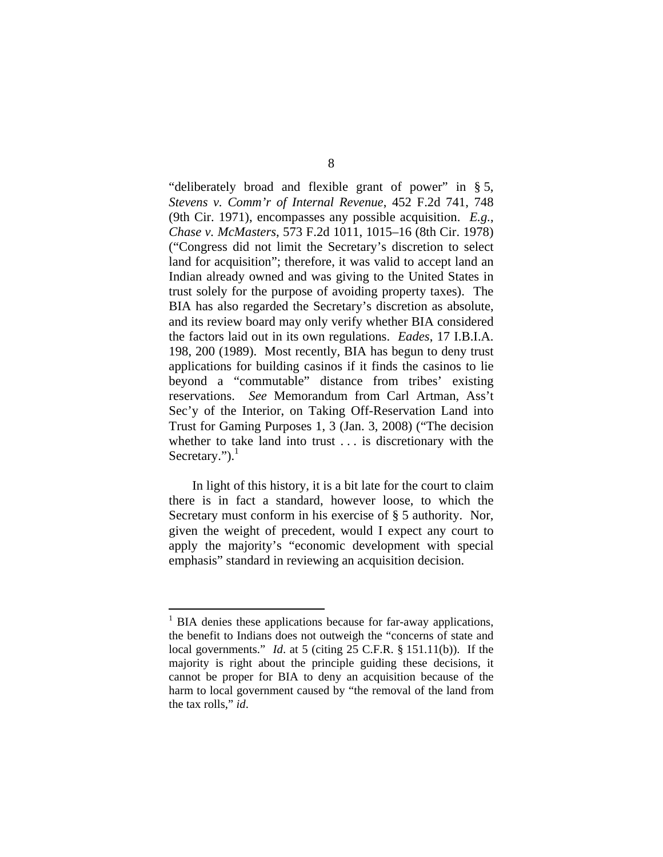"deliberately broad and flexible grant of power" in § 5, *Stevens v. Comm'r of Internal Revenue*, 452 F.2d 741, 748 (9th Cir. 1971), encompasses any possible acquisition. *E.g.*, *Chase v. McMasters*, 573 F.2d 1011, 1015–16 (8th Cir. 1978) ("Congress did not limit the Secretary's discretion to select land for acquisition"; therefore, it was valid to accept land an Indian already owned and was giving to the United States in trust solely for the purpose of avoiding property taxes). The BIA has also regarded the Secretary's discretion as absolute, and its review board may only verify whether BIA considered the factors laid out in its own regulations. *Eades*, 17 I.B.I.A. 198, 200 (1989). Most recently, BIA has begun to deny trust applications for building casinos if it finds the casinos to lie beyond a "commutable" distance from tribes' existing reservations. *See* Memorandum from Carl Artman, Ass't Sec'y of the Interior, on Taking Off-Reservation Land into Trust for Gaming Purposes 1, 3 (Jan. 3, 2008) ("The decision whether to take land into trust . . . is discretionary with the Secretary."). $^1$ 

 In light of this history, it is a bit late for the court to claim there is in fact a standard, however loose, to which the Secretary must conform in his exercise of § 5 authority. Nor, given the weight of precedent, would I expect any court to apply the majority's "economic development with special emphasis" standard in reviewing an acquisition decision.

 $\overline{a}$ 

<sup>&</sup>lt;sup>1</sup> BIA denies these applications because for far-away applications, the benefit to Indians does not outweigh the "concerns of state and local governments." *Id*. at 5 (citing 25 C.F.R. § 151.11(b)). If the majority is right about the principle guiding these decisions, it cannot be proper for BIA to deny an acquisition because of the harm to local government caused by "the removal of the land from the tax rolls," *id*.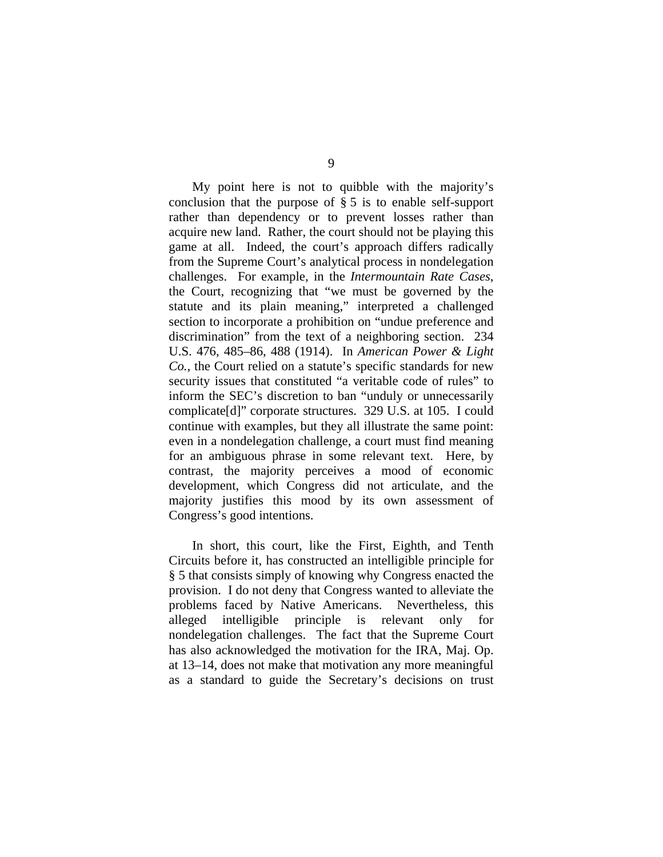My point here is not to quibble with the majority's conclusion that the purpose of § 5 is to enable self-support rather than dependency or to prevent losses rather than acquire new land. Rather, the court should not be playing this game at all. Indeed, the court's approach differs radically from the Supreme Court's analytical process in nondelegation challenges. For example, in the *Intermountain Rate Cases*, the Court, recognizing that "we must be governed by the statute and its plain meaning," interpreted a challenged section to incorporate a prohibition on "undue preference and discrimination" from the text of a neighboring section. 234 U.S. 476, 485–86, 488 (1914). In *American Power & Light Co.*, the Court relied on a statute's specific standards for new security issues that constituted "a veritable code of rules" to inform the SEC's discretion to ban "unduly or unnecessarily complicate[d]" corporate structures. 329 U.S. at 105. I could continue with examples, but they all illustrate the same point: even in a nondelegation challenge, a court must find meaning for an ambiguous phrase in some relevant text. Here, by contrast, the majority perceives a mood of economic development, which Congress did not articulate, and the majority justifies this mood by its own assessment of Congress's good intentions.

 In short, this court, like the First, Eighth, and Tenth Circuits before it, has constructed an intelligible principle for § 5 that consists simply of knowing why Congress enacted the provision. I do not deny that Congress wanted to alleviate the problems faced by Native Americans. Nevertheless, this alleged intelligible principle is relevant only nondelegation challenges. The fact that the Supreme Court has also acknowledged the motivation for the IRA, Maj. Op. at 13–14, does not make that motivation any more meaningful as a standard to guide the Secretary's decisions on trust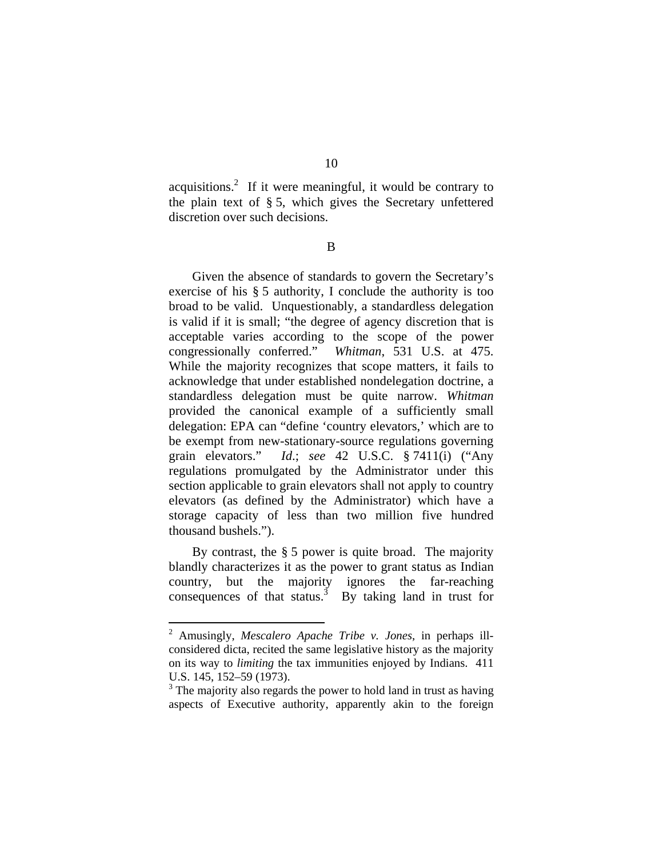acquisitions.<sup>2</sup> If it were meaningful, it would be contrary to the plain text of § 5, which gives the Secretary unfettered discretion over such decisions.

B

 Given the absence of standards to govern the Secretary's exercise of his § 5 authority, I conclude the authority is too broad to be valid. Unquestionably, a standardless delegation is valid if it is small; "the degree of agency discretion that is acceptable varies according to the scope of the power congressionally conferred." *Whitman*, 531 U.S. at 475. While the majority recognizes that scope matters, it fails to acknowledge that under established nondelegation doctrine, a standardless delegation must be quite narrow. *Whitman* provided the canonical example of a sufficiently small delegation: EPA can "define 'country elevators,' which are to be exempt from new-stationary-source regulations governing grain elevators." *Id*.; *see* 42 U.S.C. § 7411(i) ("Any regulations promulgated by the Administrator under this section applicable to grain elevators shall not apply to country elevators (as defined by the Administrator) which have a storage capacity of less than two million five hundred thousand bushels.").

 By contrast, the § 5 power is quite broad. The majority blandly characterizes it as the power to grant status as Indian country, but the majority ignores the far-reaching consequences of that status.<sup>3</sup> By taking land in trust for

 $\overline{a}$ 

<sup>2</sup> Amusingly, *Mescalero Apache Tribe v. Jones*, in perhaps illconsidered dicta, recited the same legislative history as the majority on its way to *limiting* the tax immunities enjoyed by Indians. 411 U.S. 145, 152–59 (1973).

 $3$  The majority also regards the power to hold land in trust as having aspects of Executive authority, apparently akin to the foreign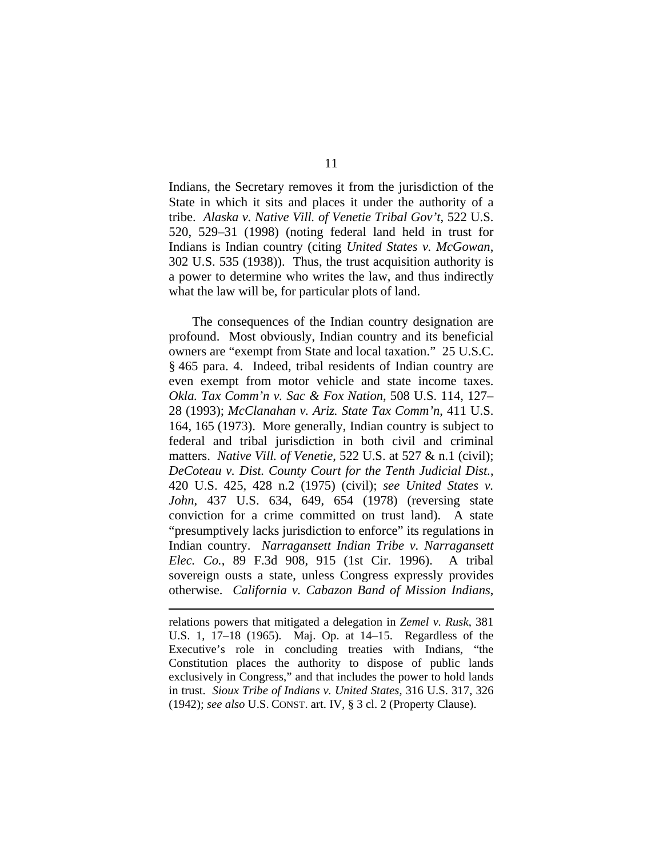Indians, the Secretary removes it from the jurisdiction of the State in which it sits and places it under the authority of a tribe. *Alaska v. Native Vill. of Venetie Tribal Gov't*, 522 U.S. 520, 529–31 (1998) (noting federal land held in trust for Indians is Indian country (citing *United States v. McGowan*, 302 U.S. 535 (1938)). Thus, the trust acquisition authority is a power to determine who writes the law, and thus indirectly what the law will be, for particular plots of land.

 The consequences of the Indian country designation are profound. Most obviously, Indian country and its beneficial owners are "exempt from State and local taxation." 25 U.S.C. § 465 para. 4. Indeed, tribal residents of Indian country are even exempt from motor vehicle and state income taxes. *Okla. Tax Comm'n v. Sac & Fox Nation*, 508 U.S. 114, 127– 28 (1993); *McClanahan v. Ariz. State Tax Comm'n*, 411 U.S. 164, 165 (1973). More generally, Indian country is subject to federal and tribal jurisdiction in both civil and criminal matters. *Native Vill. of Venetie*, 522 U.S. at 527 & n.1 (civil); *DeCoteau v. Dist. County Court for the Tenth Judicial Dist.*, 420 U.S. 425, 428 n.2 (1975) (civil); *see United States v. John*, 437 U.S. 634, 649, 654 (1978) (reversing state conviction for a crime committed on trust land). A state "presumptively lacks jurisdiction to enforce" its regulations in Indian country. *Narragansett Indian Tribe v. Narragansett Elec. Co.*, 89 F.3d 908, 915 (1st Cir. 1996). A tribal sovereign ousts a state, unless Congress expressly provides otherwise. *California v. Cabazon Band of Mission Indians*,

relations powers that mitigated a delegation in *Zemel v. Rusk*, 381 U.S. 1, 17–18 (1965). Maj. Op. at 14–15. Regardless of the Executive's role in concluding treaties with Indians, "the Constitution places the authority to dispose of public lands exclusively in Congress," and that includes the power to hold lands in trust. *Sioux Tribe of Indians v. United States*, 316 U.S. 317, 326 (1942); *see also* U.S. CONST. art. IV, § 3 cl. 2 (Property Clause).

 $\overline{a}$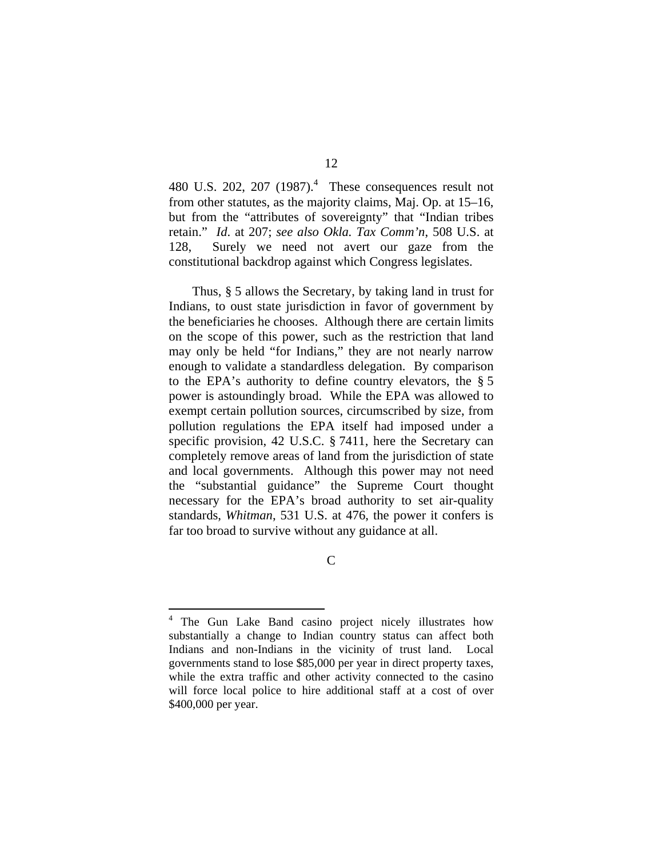480 U.S. 202, 207  $(1987)^{4}$  These consequences result not from other statutes, as the majority claims, Maj. Op. at 15–16, but from the "attributes of sovereignty" that "Indian tribes retain." *Id*. at 207; *see also Okla. Tax Comm'n*, 508 U.S. at 128, Surely we need not avert our gaze from the constitutional backdrop against which Congress legislates.

 Thus, § 5 allows the Secretary, by taking land in trust for Indians, to oust state jurisdiction in favor of government by the beneficiaries he chooses. Although there are certain limits on the scope of this power, such as the restriction that land may only be held "for Indians," they are not nearly narrow enough to validate a standardless delegation. By comparison to the EPA's authority to define country elevators, the § 5 power is astoundingly broad. While the EPA was allowed to exempt certain pollution sources, circumscribed by size, from pollution regulations the EPA itself had imposed under a specific provision, 42 U.S.C. § 7411, here the Secretary can completely remove areas of land from the jurisdiction of state and local governments. Although this power may not need the "substantial guidance" the Supreme Court thought necessary for the EPA's broad authority to set air-quality standards, *Whitman*, 531 U.S. at 476, the power it confers is far too broad to survive without any guidance at all.

 $\mathcal{C}$ 

 $\overline{a}$ <sup>4</sup> The Gun Lake Band casino project nicely illustrates how substantially a change to Indian country status can affect both Indians and non-Indians in the vicinity of trust land. Local governments stand to lose \$85,000 per year in direct property taxes, while the extra traffic and other activity connected to the casino will force local police to hire additional staff at a cost of over \$400,000 per year.